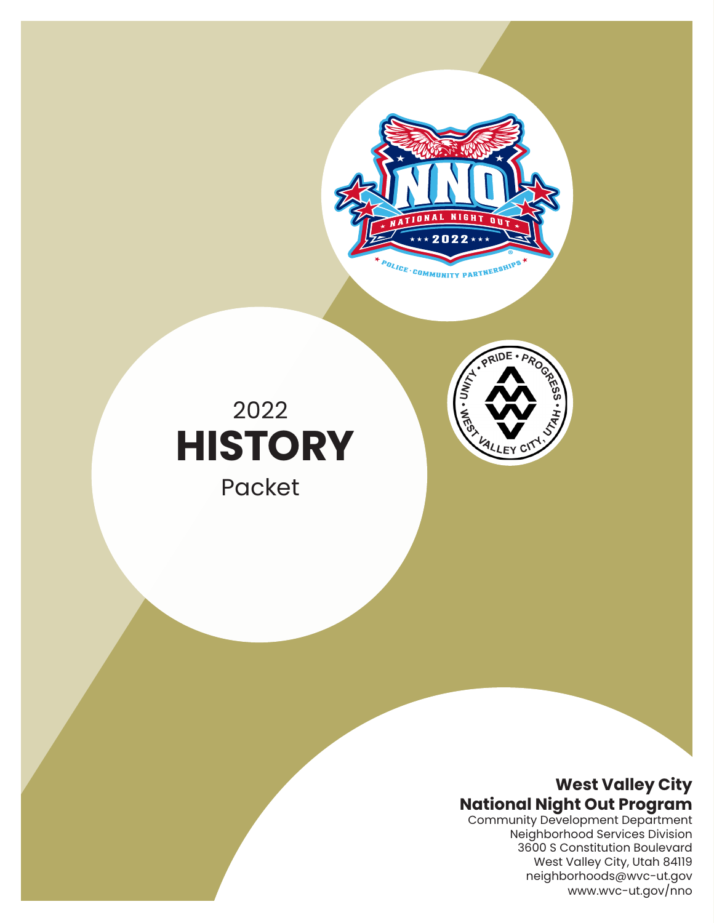

PRIDE

# 2022  **HISTORY**

Packet

### **West Valley City National Night Out Program**

Community Development Department Neighborhood Services Division 3600 S Constitution Boulevard West Valley City, Utah 84119 neighborhoods@wvc-ut.gov www.wvc-ut.gov/nno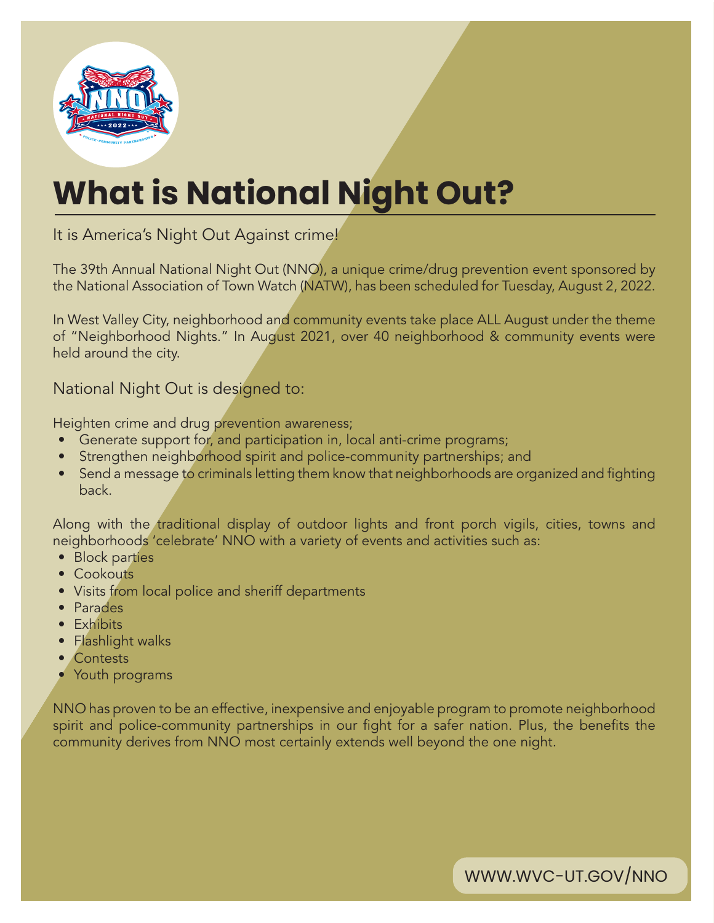

# **What is National Night Out?**

It is America's Night Out Against crime!

The 39th Annual National Night Out (NNO), a unique crime/drug prevention event sponsored by the National Association of Town Watch (NATW), has been scheduled for Tuesday, August 2, 2022.

In West Valley City, neighborhood and community events take place ALL August under the theme of "Neighborhood Nights." In August 2021, over 40 neighborhood & community events were held around the city.

National Night Out is designed to:

Heighten crime and drug prevention awareness;

- Generate support for, and participation in, local anti-crime programs;
- Strengthen neighborhood spirit and police-community partnerships; and
- Send a message to criminals letting them know that neighborhoods are organized and fighting back.

Along with the traditional display of outdoor lights and front porch vigils, cities, towns and neighborhoods 'celebrate' NNO with a variety of events and activities such as:

- Block parties
- Cookouts
- Visits from local police and sheriff departments
- Parades
- Exhibits
- Flashlight walks
- Contests
- Youth programs

NNO has proven to be an effective, inexpensive and enjoyable program to promote neighborhood spirit and police-community partnerships in our fight for a safer nation. Plus, the benefits the community derives from NNO most certainly extends well beyond the one night.

WWW.WVC-UT.GOV/NNO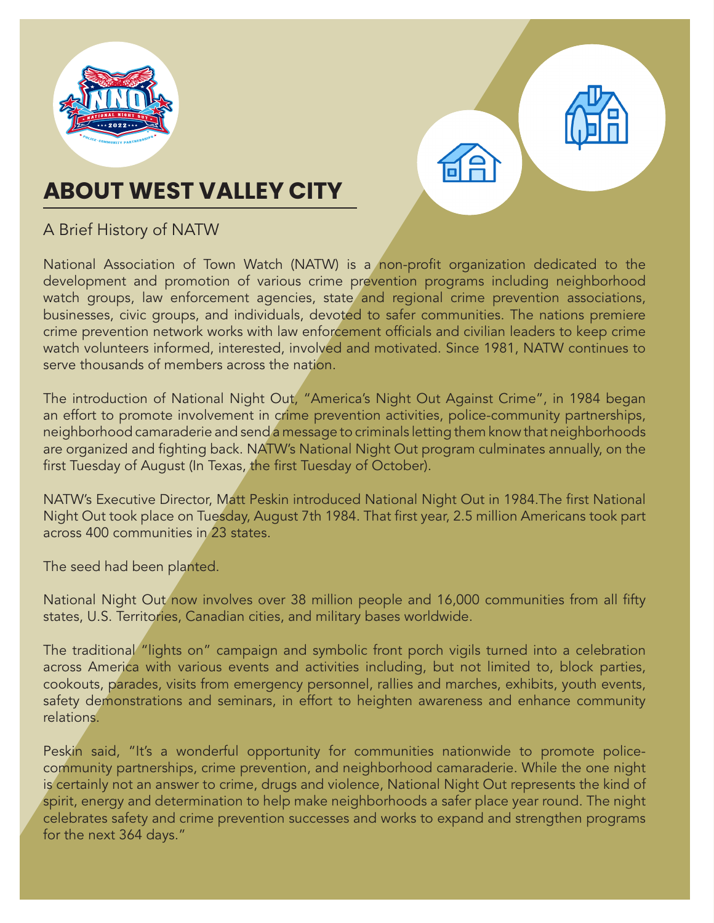



## **ABOUT WEST VALLEY CITY**

### A Brief History of NATW

National Association of Town Watch (NATW) is a non-profit organization dedicated to the development and promotion of various crime prevention programs including neighborhood watch groups, law enforcement agencies, state and regional crime prevention associations, businesses, civic groups, and individuals, devoted to safer communities. The nations premiere crime prevention network works with law enforcement officials and civilian leaders to keep crime watch volunteers informed, interested, involved and motivated. Since 1981, NATW continues to serve thousands of members across the nation.

The introduction of National Night Out, "America's Night Out Against Crime", in 1984 began an effort to promote involvement in crime prevention activities, police-community partnerships, neighborhood camaraderie and send a message to criminals letting them know that neighborhoods are organized and fighting back. NATW's National Night Out program culminates annually, on the first Tuesday of August (In Texas, the first Tuesday of October).

NATW's Executive Director, Matt Peskin introduced National Night Out in 1984.The first National Night Out took place on Tuesday, August 7th 1984. That first year, 2.5 million Americans took part across 400 communities in 23 states.

The seed had been planted.

National Night Out now involves over 38 million people and 16,000 communities from all fifty states, U.S. Territories, Canadian cities, and military bases worldwide.

The traditional "lights on" campaign and symbolic front porch vigils turned into a celebration across America with various events and activities including, but not limited to, block parties, cookouts, parades, visits from emergency personnel, rallies and marches, exhibits, youth events, safety demonstrations and seminars, in effort to heighten awareness and enhance community relations.

Peskin said, "It's a wonderful opportunity for communities nationwide to promote policecommunity partnerships, crime prevention, and neighborhood camaraderie. While the one night is certainly not an answer to crime, drugs and violence, National Night Out represents the kind of spirit, energy and determination to help make neighborhoods a safer place year round. The night celebrates safety and crime prevention successes and works to expand and strengthen programs for the next 364 days."